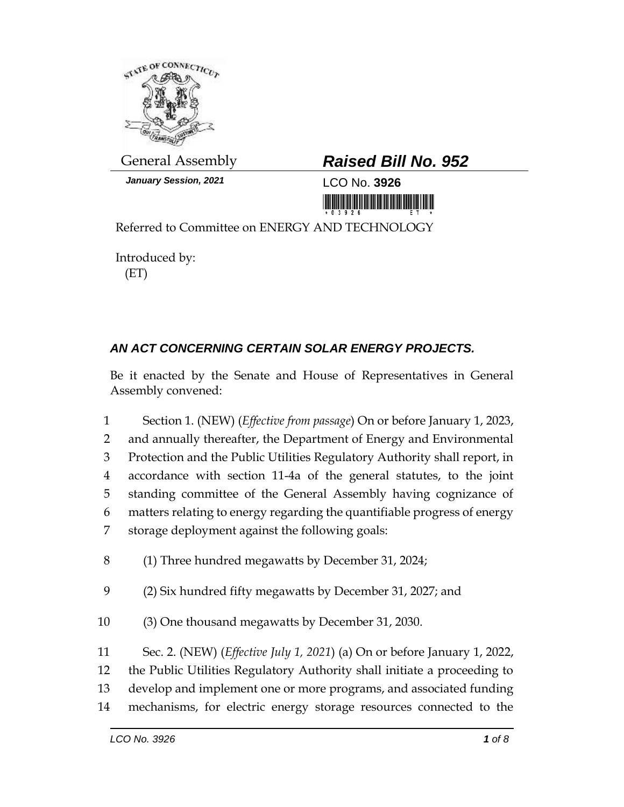

*January Session, 2021* LCO No. **3926**

## General Assembly *Raised Bill No. 952*

<u> III MARIJI III MARIJI III MARIJI III MARIJI III MARIJI III MARIJI III MARIJI III MARIJI III MARIJI III MARIJ</u>

Referred to Committee on ENERGY AND TECHNOLOGY

Introduced by: (ET)

## *AN ACT CONCERNING CERTAIN SOLAR ENERGY PROJECTS.*

Be it enacted by the Senate and House of Representatives in General Assembly convened:

 Section 1. (NEW) (*Effective from passage*) On or before January 1, 2023, and annually thereafter, the Department of Energy and Environmental Protection and the Public Utilities Regulatory Authority shall report, in accordance with section 11-4a of the general statutes, to the joint standing committee of the General Assembly having cognizance of matters relating to energy regarding the quantifiable progress of energy storage deployment against the following goals: (1) Three hundred megawatts by December 31, 2024; (2) Six hundred fifty megawatts by December 31, 2027; and (3) One thousand megawatts by December 31, 2030. Sec. 2. (NEW) (*Effective July 1, 2021*) (a) On or before January 1, 2022, the Public Utilities Regulatory Authority shall initiate a proceeding to develop and implement one or more programs, and associated funding mechanisms, for electric energy storage resources connected to the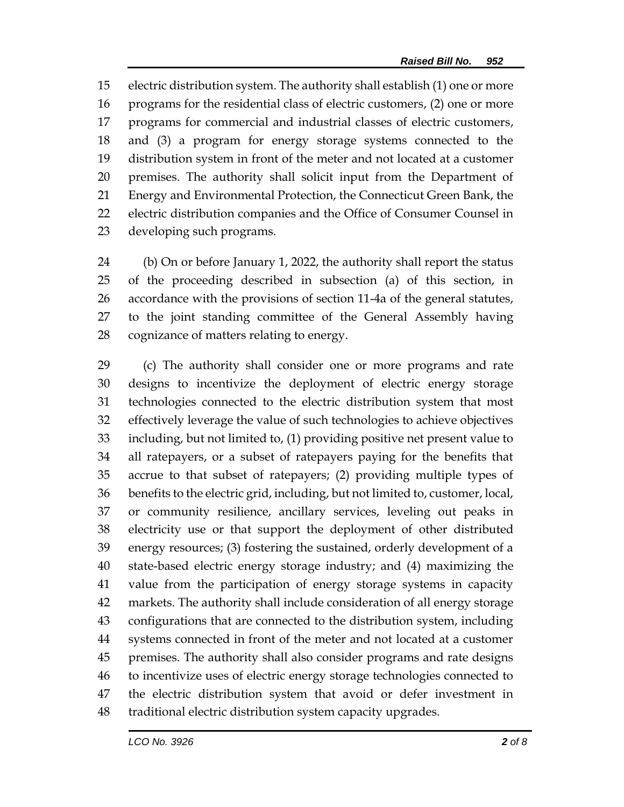electric distribution system. The authority shall establish (1) one or more programs for the residential class of electric customers, (2) one or more programs for commercial and industrial classes of electric customers, and (3) a program for energy storage systems connected to the distribution system in front of the meter and not located at a customer premises. The authority shall solicit input from the Department of Energy and Environmental Protection, the Connecticut Green Bank, the electric distribution companies and the Office of Consumer Counsel in developing such programs.

 (b) On or before January 1, 2022, the authority shall report the status of the proceeding described in subsection (a) of this section, in accordance with the provisions of section 11-4a of the general statutes, to the joint standing committee of the General Assembly having cognizance of matters relating to energy.

 (c) The authority shall consider one or more programs and rate designs to incentivize the deployment of electric energy storage technologies connected to the electric distribution system that most effectively leverage the value of such technologies to achieve objectives including, but not limited to, (1) providing positive net present value to all ratepayers, or a subset of ratepayers paying for the benefits that accrue to that subset of ratepayers; (2) providing multiple types of benefits to the electric grid, including, but not limited to, customer, local, or community resilience, ancillary services, leveling out peaks in electricity use or that support the deployment of other distributed energy resources; (3) fostering the sustained, orderly development of a state-based electric energy storage industry; and (4) maximizing the value from the participation of energy storage systems in capacity markets. The authority shall include consideration of all energy storage configurations that are connected to the distribution system, including systems connected in front of the meter and not located at a customer premises. The authority shall also consider programs and rate designs to incentivize uses of electric energy storage technologies connected to the electric distribution system that avoid or defer investment in traditional electric distribution system capacity upgrades.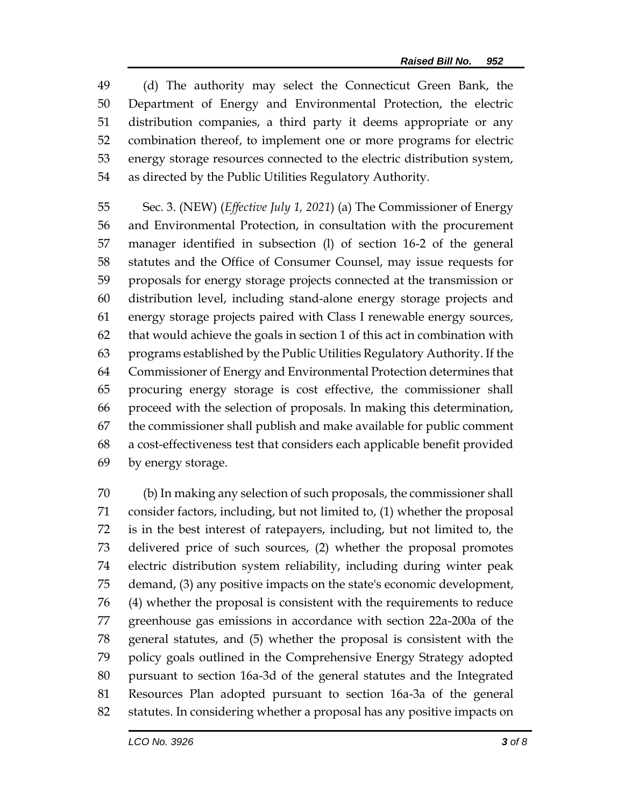(d) The authority may select the Connecticut Green Bank, the Department of Energy and Environmental Protection, the electric distribution companies, a third party it deems appropriate or any combination thereof, to implement one or more programs for electric energy storage resources connected to the electric distribution system, as directed by the Public Utilities Regulatory Authority.

 Sec. 3. (NEW) (*Effective July 1, 2021*) (a) The Commissioner of Energy and Environmental Protection, in consultation with the procurement manager identified in subsection (l) of section 16-2 of the general statutes and the Office of Consumer Counsel, may issue requests for proposals for energy storage projects connected at the transmission or distribution level, including stand-alone energy storage projects and energy storage projects paired with Class I renewable energy sources, that would achieve the goals in section 1 of this act in combination with programs established by the Public Utilities Regulatory Authority. If the Commissioner of Energy and Environmental Protection determines that procuring energy storage is cost effective, the commissioner shall proceed with the selection of proposals. In making this determination, the commissioner shall publish and make available for public comment a cost-effectiveness test that considers each applicable benefit provided by energy storage.

 (b) In making any selection of such proposals, the commissioner shall consider factors, including, but not limited to, (1) whether the proposal is in the best interest of ratepayers, including, but not limited to, the delivered price of such sources, (2) whether the proposal promotes electric distribution system reliability, including during winter peak demand, (3) any positive impacts on the state's economic development, (4) whether the proposal is consistent with the requirements to reduce greenhouse gas emissions in accordance with section 22a-200a of the general statutes, and (5) whether the proposal is consistent with the policy goals outlined in the Comprehensive Energy Strategy adopted pursuant to section 16a-3d of the general statutes and the Integrated Resources Plan adopted pursuant to section 16a-3a of the general statutes. In considering whether a proposal has any positive impacts on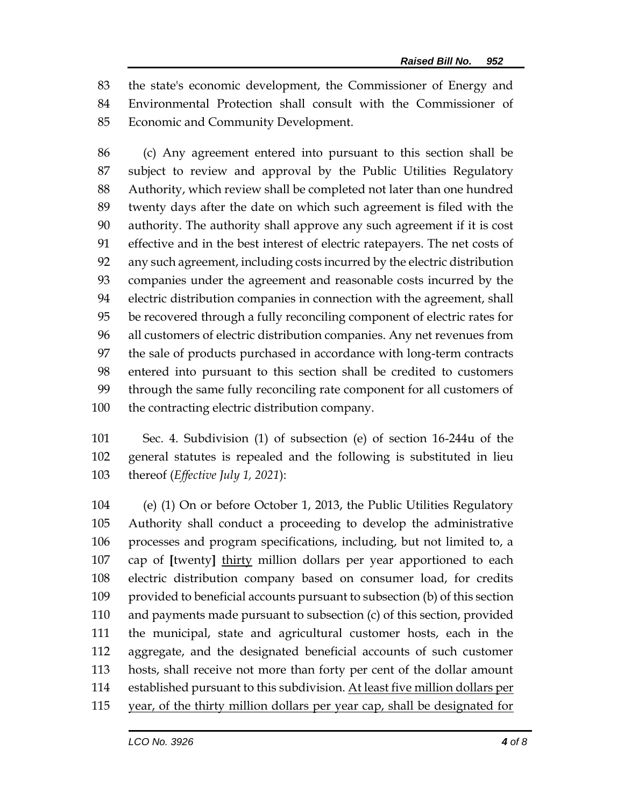the state's economic development, the Commissioner of Energy and Environmental Protection shall consult with the Commissioner of Economic and Community Development.

 (c) Any agreement entered into pursuant to this section shall be subject to review and approval by the Public Utilities Regulatory Authority, which review shall be completed not later than one hundred twenty days after the date on which such agreement is filed with the authority. The authority shall approve any such agreement if it is cost effective and in the best interest of electric ratepayers. The net costs of any such agreement, including costs incurred by the electric distribution companies under the agreement and reasonable costs incurred by the electric distribution companies in connection with the agreement, shall be recovered through a fully reconciling component of electric rates for all customers of electric distribution companies. Any net revenues from the sale of products purchased in accordance with long-term contracts entered into pursuant to this section shall be credited to customers through the same fully reconciling rate component for all customers of the contracting electric distribution company.

 Sec. 4. Subdivision (1) of subsection (e) of section 16-244u of the general statutes is repealed and the following is substituted in lieu thereof (*Effective July 1, 2021*):

 (e) (1) On or before October 1, 2013, the Public Utilities Regulatory Authority shall conduct a proceeding to develop the administrative processes and program specifications, including, but not limited to, a cap of **[**twenty**]** thirty million dollars per year apportioned to each electric distribution company based on consumer load, for credits provided to beneficial accounts pursuant to subsection (b) of this section and payments made pursuant to subsection (c) of this section, provided the municipal, state and agricultural customer hosts, each in the aggregate, and the designated beneficial accounts of such customer hosts, shall receive not more than forty per cent of the dollar amount 114 established pursuant to this subdivision. At least five million dollars per year, of the thirty million dollars per year cap, shall be designated for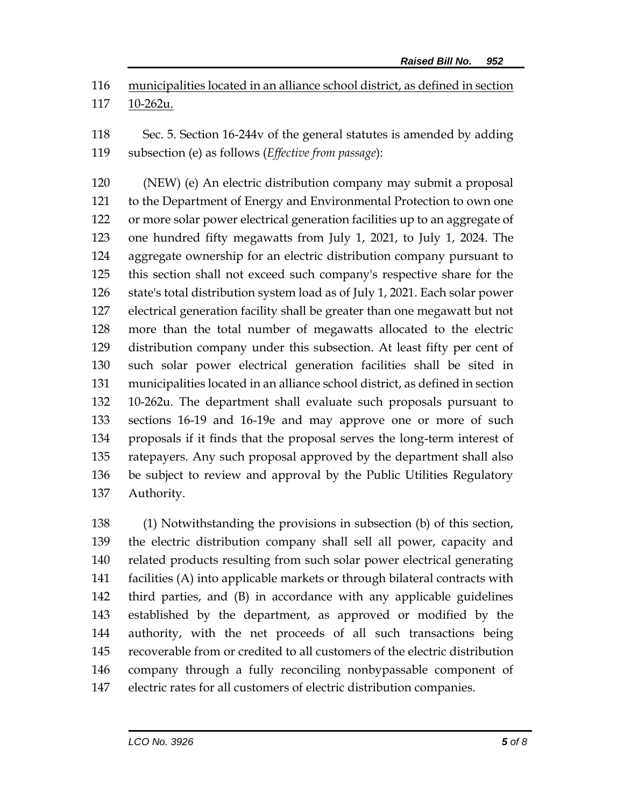municipalities located in an alliance school district, as defined in section 10-262u.

 Sec. 5. Section 16-244v of the general statutes is amended by adding subsection (e) as follows (*Effective from passage*):

 (NEW) (e) An electric distribution company may submit a proposal to the Department of Energy and Environmental Protection to own one or more solar power electrical generation facilities up to an aggregate of one hundred fifty megawatts from July 1, 2021, to July 1, 2024. The aggregate ownership for an electric distribution company pursuant to this section shall not exceed such company's respective share for the state's total distribution system load as of July 1, 2021. Each solar power electrical generation facility shall be greater than one megawatt but not more than the total number of megawatts allocated to the electric distribution company under this subsection. At least fifty per cent of such solar power electrical generation facilities shall be sited in municipalities located in an alliance school district, as defined in section 10-262u. The department shall evaluate such proposals pursuant to sections 16-19 and 16-19e and may approve one or more of such proposals if it finds that the proposal serves the long-term interest of ratepayers. Any such proposal approved by the department shall also be subject to review and approval by the Public Utilities Regulatory Authority.

 (1) Notwithstanding the provisions in subsection (b) of this section, the electric distribution company shall sell all power, capacity and related products resulting from such solar power electrical generating facilities (A) into applicable markets or through bilateral contracts with third parties, and (B) in accordance with any applicable guidelines established by the department, as approved or modified by the authority, with the net proceeds of all such transactions being recoverable from or credited to all customers of the electric distribution company through a fully reconciling nonbypassable component of electric rates for all customers of electric distribution companies.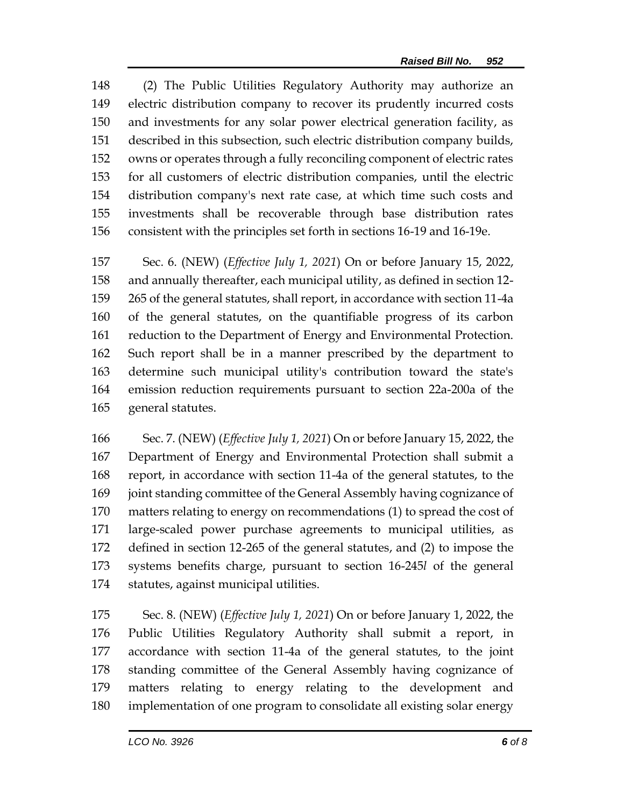(2) The Public Utilities Regulatory Authority may authorize an electric distribution company to recover its prudently incurred costs and investments for any solar power electrical generation facility, as described in this subsection, such electric distribution company builds, owns or operates through a fully reconciling component of electric rates for all customers of electric distribution companies, until the electric distribution company's next rate case, at which time such costs and investments shall be recoverable through base distribution rates consistent with the principles set forth in sections 16-19 and 16-19e.

 Sec. 6. (NEW) (*Effective July 1, 2021*) On or before January 15, 2022, and annually thereafter, each municipal utility, as defined in section 12- 265 of the general statutes, shall report, in accordance with section 11-4a of the general statutes, on the quantifiable progress of its carbon reduction to the Department of Energy and Environmental Protection. Such report shall be in a manner prescribed by the department to determine such municipal utility's contribution toward the state's emission reduction requirements pursuant to section 22a-200a of the general statutes.

 Sec. 7. (NEW) (*Effective July 1, 2021*) On or before January 15, 2022, the Department of Energy and Environmental Protection shall submit a report, in accordance with section 11-4a of the general statutes, to the joint standing committee of the General Assembly having cognizance of matters relating to energy on recommendations (1) to spread the cost of large-scaled power purchase agreements to municipal utilities, as defined in section 12-265 of the general statutes, and (2) to impose the systems benefits charge, pursuant to section 16-245*l* of the general statutes, against municipal utilities.

 Sec. 8. (NEW) (*Effective July 1, 2021*) On or before January 1, 2022, the Public Utilities Regulatory Authority shall submit a report, in accordance with section 11-4a of the general statutes, to the joint standing committee of the General Assembly having cognizance of matters relating to energy relating to the development and implementation of one program to consolidate all existing solar energy